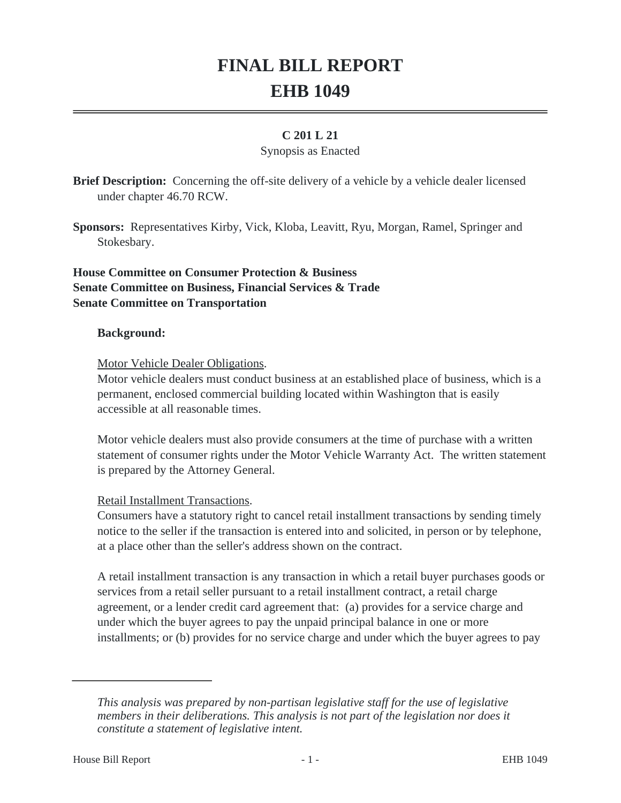# **FINAL BILL REPORT EHB 1049**

## **C 201 L 21**

#### Synopsis as Enacted

**Brief Description:** Concerning the off-site delivery of a vehicle by a vehicle dealer licensed under chapter 46.70 RCW.

**Sponsors:** Representatives Kirby, Vick, Kloba, Leavitt, Ryu, Morgan, Ramel, Springer and Stokesbary.

# **House Committee on Consumer Protection & Business Senate Committee on Business, Financial Services & Trade Senate Committee on Transportation**

#### **Background:**

Motor Vehicle Dealer Obligations.

Motor vehicle dealers must conduct business at an established place of business, which is a permanent, enclosed commercial building located within Washington that is easily accessible at all reasonable times.

Motor vehicle dealers must also provide consumers at the time of purchase with a written statement of consumer rights under the Motor Vehicle Warranty Act. The written statement is prepared by the Attorney General.

### Retail Installment Transactions.

Consumers have a statutory right to cancel retail installment transactions by sending timely notice to the seller if the transaction is entered into and solicited, in person or by telephone, at a place other than the seller's address shown on the contract.

A retail installment transaction is any transaction in which a retail buyer purchases goods or services from a retail seller pursuant to a retail installment contract, a retail charge agreement, or a lender credit card agreement that: (a) provides for a service charge and under which the buyer agrees to pay the unpaid principal balance in one or more installments; or (b) provides for no service charge and under which the buyer agrees to pay

*This analysis was prepared by non-partisan legislative staff for the use of legislative members in their deliberations. This analysis is not part of the legislation nor does it constitute a statement of legislative intent.*